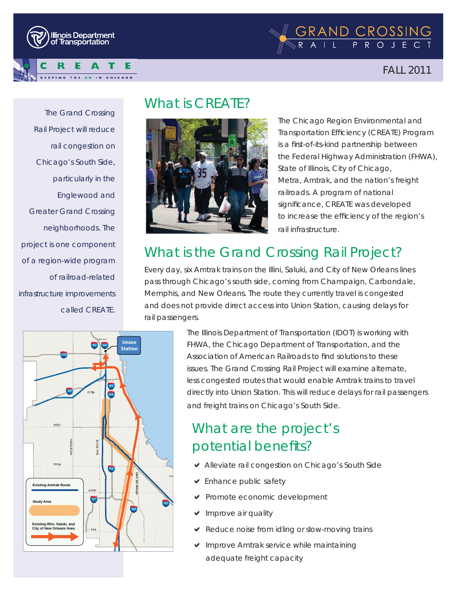



FALL 2011

*The Grand Crossing Rail Project will reduce rail congestion on Chicago's South Side, particularly in the Englewood and Greater Grand Crossing neighborhoods. The project is one component of a region-wide program of railroad-related infrastructure improvements called CREATE.*

## What is CREATE?



The Chicago Region Environmental and Transportation Efficiency (CREATE) Program is a first-of-its-kind partnership between the Federal Highway Administration (FHWA), State of Illinois, City of Chicago, Metra, Amtrak, and the nation's freight railroads. A program of national significance, CREATE was developed to increase the efficiency of the region's rail infrastructure.

# What is the Grand Crossing Rail Project?

Every day, six Amtrak trains on the Illini, Saluki, and City of New Orleans lines pass through Chicago's south side, coming from Champaign, Carbondale, Memphis, and New Orleans. The route they currently travel is congested and does not provide direct access into Union Station, causing delays for rail passengers.



The Illinois Department of Transportation (IDOT) is working with FHWA, the Chicago Department of Transportation, and the Association of American Railroads to find solutions to these issues. The Grand Crossing Rail Project will examine alternate, less congested routes that would enable Amtrak trains to travel directly into Union Station. This will reduce delays for rail passengers and freight trains on Chicago's South Side.

# What are the project's potential benefits?

- ◆ Alleviate rail congestion on Chicago's South Side
- $\triangleright$  Enhance public safety
- $\vee$  Promote economic development
- Improve air quality
- Reduce noise from idling or slow-moving trains
- $\vee$  Improve Amtrak service while maintaining adequate freight capacity